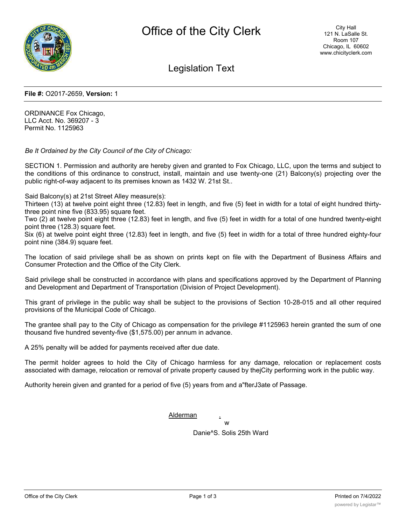

Legislation Text

## **File #:** O2017-2659, **Version:** 1

ORDINANCE Fox Chicago, LLC Acct. No. 369207 - 3 Permit No. 1125963

*Be It Ordained by the City Council of the City of Chicago:*

SECTION 1. Permission and authority are hereby given and granted to Fox Chicago, LLC, upon the terms and subject to the conditions of this ordinance to construct, install, maintain and use twenty-one (21) Balcony(s) projecting over the public right-of-way adjacent to its premises known as 1432 W. 21st St..

Said Balcony(s) at 21st Street Alley measure(s):

Thirteen (13) at twelve point eight three (12.83) feet in length, and five (5) feet in width for a total of eight hundred thirtythree point nine five (833.95) square feet.

Two (2) at twelve point eight three (12.83) feet in length, and five (5) feet in width for a total of one hundred twenty-eight point three (128.3) square feet.

Six (6) at twelve point eight three (12.83) feet in length, and five (5) feet in width for a total of three hundred eighty-four point nine (384.9) square feet.

The location of said privilege shall be as shown on prints kept on file with the Department of Business Affairs and Consumer Protection and the Office of the City Clerk.

Said privilege shall be constructed in accordance with plans and specifications approved by the Department of Planning and Development and Department of Transportation (Division of Project Development).

This grant of privilege in the public way shall be subject to the provisions of Section 10-28-015 and all other required provisions of the Municipal Code of Chicago.

The grantee shall pay to the City of Chicago as compensation for the privilege #1125963 herein granted the sum of one thousand five hundred seventy-five (\$1,575.00) per annum in advance.

A 25% penalty will be added for payments received after due date.

The permit holder agrees to hold the City of Chicago harmless for any damage, relocation or replacement costs associated with damage, relocation or removal of private property caused by thejCity performing work in the public way.

Authority herein given and granted for a period of five (5) years from and a"fterJ3ate of Passage.

**Alderman** 

w Danie^S. Solis 25th Ward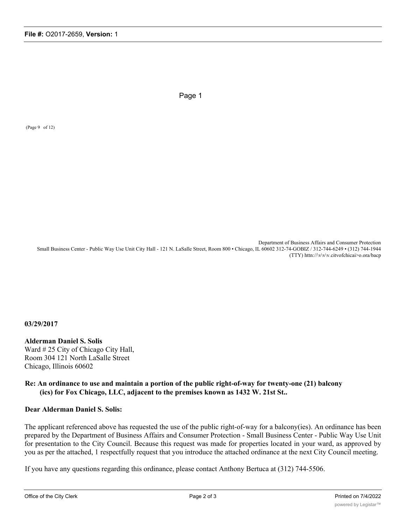Page 1

(Page 9 of 12)

Department of Business Affairs and Consumer Protection Small Business Center - Public Way Use Unit City Hall - 121 N. LaSalle Street, Room 800 • Chicago, IL 60602 312-74-GOBIZ / 312-744-6249 • (312) 744-1944 (TTY) httn://\v\v\v.citvofchicai>o.ora/bacp

**03/29/2017**

**Alderman Daniel S. Solis** Ward # 25 City of Chicago City Hall, Room 304 121 North LaSalle Street Chicago, Illinois 60602

**Re: An ordinance to use and maintain a portion of the public right-of-way for twenty-one (21) balcony (ics) for Fox Chicago, LLC, adjacent to the premises known as 1432 W. 21st St..**

## **Dear Alderman Daniel S. Solis:**

The applicant referenced above has requested the use of the public right-of-way for a balcony(ies). An ordinance has been prepared by the Department of Business Affairs and Consumer Protection - Small Business Center - Public Way Use Unit for presentation to the City Council. Because this request was made for properties located in your ward, as approved by you as per the attached, 1 respectfully request that you introduce the attached ordinance at the next City Council meeting.

If you have any questions regarding this ordinance, please contact Anthony Bertuca at (312) 744-5506.